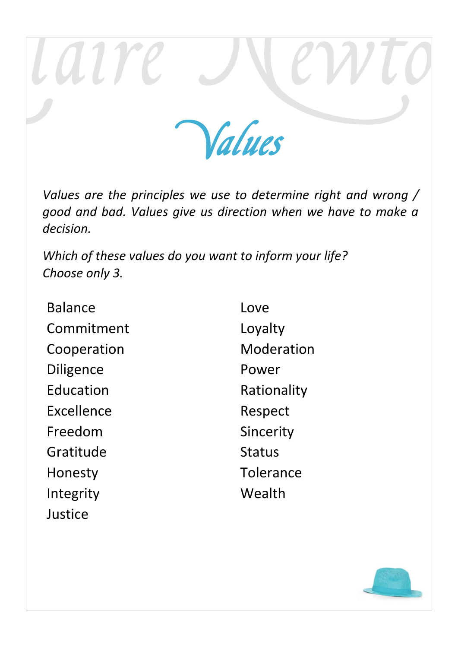

*Values are the principles we use to determine right and wrong / good and bad. Values give us direction when we have to make a decision.*

*Which of these values do you want to inform your life? Choose only 3.*

Balance Commitment Cooperation Diligence Education Excellence Freedom Gratitude Honesty Integrity Justice

Love Loyalty Moderation Power Rationality Respect Sincerity Status **Tolerance Wealth**